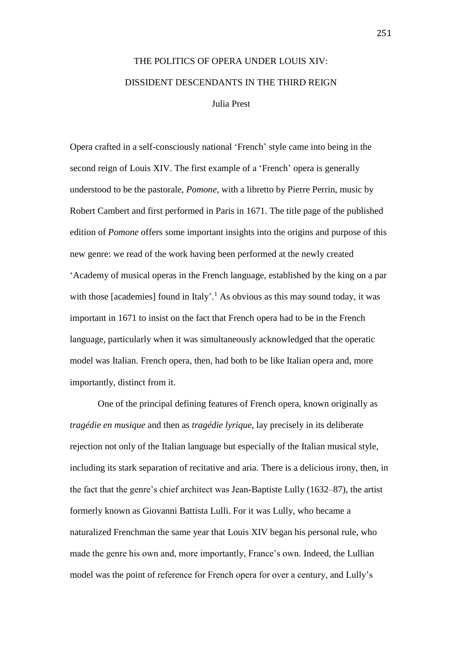## THE POLITICS OF OPERA UNDER LOUIS XIV: DISSIDENT DESCENDANTS IN THE THIRD REIGN Julia Prest

Opera crafted in a self-consciously national 'French' style came into being in the second reign of Louis XIV. The first example of a 'French' opera is generally understood to be the pastorale, *Pomone*, with a libretto by Pierre Perrin, music by Robert Cambert and first performed in Paris in 1671. The title page of the published edition of *Pomone* offers some important insights into the origins and purpose of this new genre: we read of the work having been performed at the newly created 'Academy of musical operas in the French language, established by the king on a par with those [academies] found in Italy'.<sup>1</sup> As obvious as this may sound today, it was important in 1671 to insist on the fact that French opera had to be in the French language, particularly when it was simultaneously acknowledged that the operatic model was Italian. French opera, then, had both to be like Italian opera and, more importantly, distinct from it.

One of the principal defining features of French opera, known originally as *tragédie en musique* and then as *tragédie lyrique*, lay precisely in its deliberate rejection not only of the Italian language but especially of the Italian musical style, including its stark separation of recitative and aria. There is a delicious irony, then, in the fact that the genre's chief architect was Jean-Baptiste Lully (1632–87), the artist formerly known as Giovanni Battista Lulli. For it was Lully, who became a naturalized Frenchman the same year that Louis XIV began his personal rule, who made the genre his own and, more importantly, France's own. Indeed, the Lullian model was the point of reference for French opera for over a century, and Lully's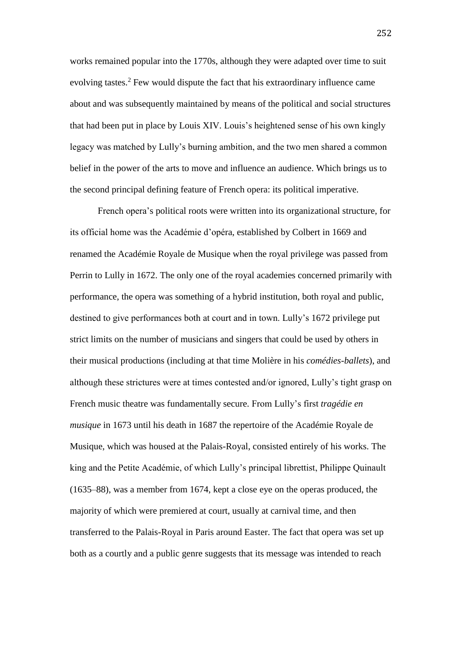works remained popular into the 1770s, although they were adapted over time to suit evolving tastes.<sup>2</sup> Few would dispute the fact that his extraordinary influence came about and was subsequently maintained by means of the political and social structures that had been put in place by Louis XIV. Louis's heightened sense of his own kingly legacy was matched by Lully's burning ambition, and the two men shared a common belief in the power of the arts to move and influence an audience. Which brings us to the second principal defining feature of French opera: its political imperative.

French opera's political roots were written into its organizational structure, for its official home was the Académie d'opéra, established by Colbert in 1669 and renamed the Académie Royale de Musique when the royal privilege was passed from Perrin to Lully in 1672. The only one of the royal academies concerned primarily with performance, the opera was something of a hybrid institution, both royal and public, destined to give performances both at court and in town. Lully's 1672 privilege put strict limits on the number of musicians and singers that could be used by others in their musical productions (including at that time Molière in his *comédies-ballets*), and although these strictures were at times contested and/or ignored, Lully's tight grasp on French music theatre was fundamentally secure. From Lully's first *tragédie en musique* in 1673 until his death in 1687 the repertoire of the Académie Royale de Musique, which was housed at the Palais-Royal, consisted entirely of his works. The king and the Petite Académie, of which Lully's principal librettist, Philippe Quinault (1635–88), was a member from 1674, kept a close eye on the operas produced, the majority of which were premiered at court, usually at carnival time, and then transferred to the Palais-Royal in Paris around Easter. The fact that opera was set up both as a courtly and a public genre suggests that its message was intended to reach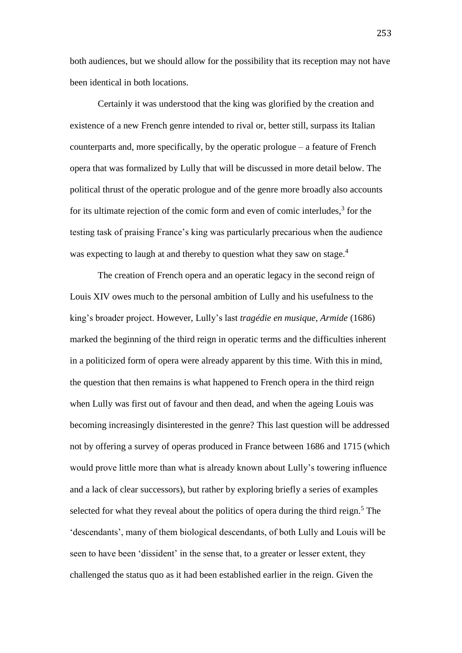both audiences, but we should allow for the possibility that its reception may not have been identical in both locations.

Certainly it was understood that the king was glorified by the creation and existence of a new French genre intended to rival or, better still, surpass its Italian counterparts and, more specifically, by the operatic prologue – a feature of French opera that was formalized by Lully that will be discussed in more detail below. The political thrust of the operatic prologue and of the genre more broadly also accounts for its ultimate rejection of the comic form and even of comic interludes, $3$  for the testing task of praising France's king was particularly precarious when the audience was expecting to laugh at and thereby to question what they saw on stage.<sup>4</sup>

The creation of French opera and an operatic legacy in the second reign of Louis XIV owes much to the personal ambition of Lully and his usefulness to the king's broader project. However, Lully's last *tragédie en musique*, *Armide* (1686) marked the beginning of the third reign in operatic terms and the difficulties inherent in a politicized form of opera were already apparent by this time. With this in mind, the question that then remains is what happened to French opera in the third reign when Lully was first out of favour and then dead, and when the ageing Louis was becoming increasingly disinterested in the genre? This last question will be addressed not by offering a survey of operas produced in France between 1686 and 1715 (which would prove little more than what is already known about Lully's towering influence and a lack of clear successors), but rather by exploring briefly a series of examples selected for what they reveal about the politics of opera during the third reign.<sup>5</sup> The 'descendants', many of them biological descendants, of both Lully and Louis will be seen to have been 'dissident' in the sense that, to a greater or lesser extent, they challenged the status quo as it had been established earlier in the reign. Given the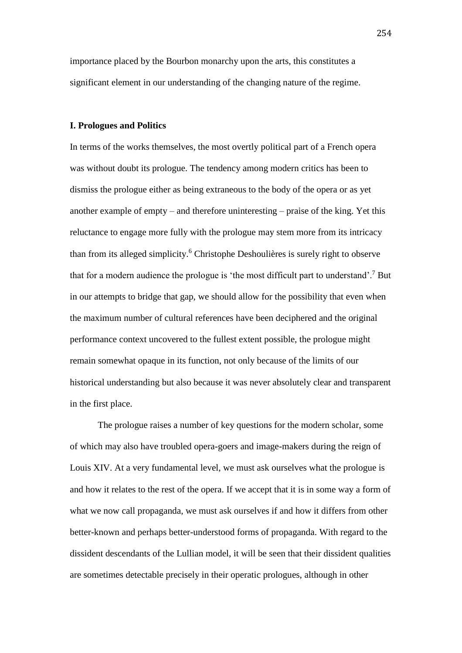importance placed by the Bourbon monarchy upon the arts, this constitutes a significant element in our understanding of the changing nature of the regime.

## **I. Prologues and Politics**

In terms of the works themselves, the most overtly political part of a French opera was without doubt its prologue. The tendency among modern critics has been to dismiss the prologue either as being extraneous to the body of the opera or as yet another example of empty – and therefore uninteresting – praise of the king. Yet this reluctance to engage more fully with the prologue may stem more from its intricacy than from its alleged simplicity.<sup>6</sup> Christophe Deshoulières is surely right to observe that for a modern audience the prologue is 'the most difficult part to understand'.<sup>7</sup> But in our attempts to bridge that gap, we should allow for the possibility that even when the maximum number of cultural references have been deciphered and the original performance context uncovered to the fullest extent possible, the prologue might remain somewhat opaque in its function, not only because of the limits of our historical understanding but also because it was never absolutely clear and transparent in the first place.

The prologue raises a number of key questions for the modern scholar, some of which may also have troubled opera-goers and image-makers during the reign of Louis XIV. At a very fundamental level, we must ask ourselves what the prologue is and how it relates to the rest of the opera. If we accept that it is in some way a form of what we now call propaganda, we must ask ourselves if and how it differs from other better-known and perhaps better-understood forms of propaganda. With regard to the dissident descendants of the Lullian model, it will be seen that their dissident qualities are sometimes detectable precisely in their operatic prologues, although in other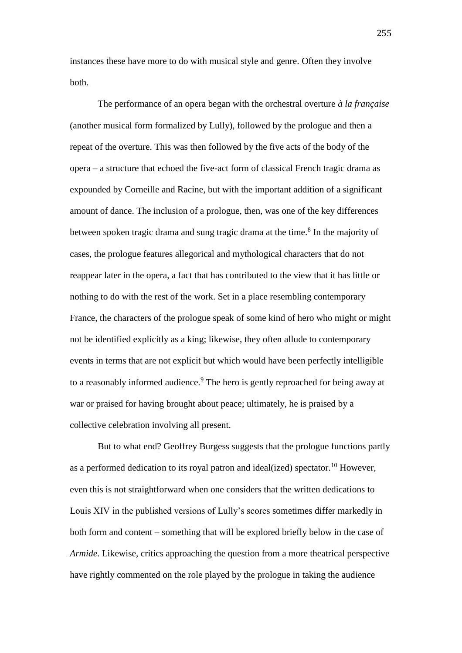instances these have more to do with musical style and genre. Often they involve both.

The performance of an opera began with the orchestral overture *à la française* (another musical form formalized by Lully), followed by the prologue and then a repeat of the overture. This was then followed by the five acts of the body of the opera – a structure that echoed the five-act form of classical French tragic drama as expounded by Corneille and Racine, but with the important addition of a significant amount of dance. The inclusion of a prologue, then, was one of the key differences between spoken tragic drama and sung tragic drama at the time.<sup>8</sup> In the majority of cases, the prologue features allegorical and mythological characters that do not reappear later in the opera, a fact that has contributed to the view that it has little or nothing to do with the rest of the work. Set in a place resembling contemporary France, the characters of the prologue speak of some kind of hero who might or might not be identified explicitly as a king; likewise, they often allude to contemporary events in terms that are not explicit but which would have been perfectly intelligible to a reasonably informed audience.<sup>9</sup> The hero is gently reproached for being away at war or praised for having brought about peace; ultimately, he is praised by a collective celebration involving all present.

But to what end? Geoffrey Burgess suggests that the prologue functions partly as a performed dedication to its royal patron and ideal(ized) spectator.<sup>10</sup> However, even this is not straightforward when one considers that the written dedications to Louis XIV in the published versions of Lully's scores sometimes differ markedly in both form and content – something that will be explored briefly below in the case of *Armide*. Likewise, critics approaching the question from a more theatrical perspective have rightly commented on the role played by the prologue in taking the audience

255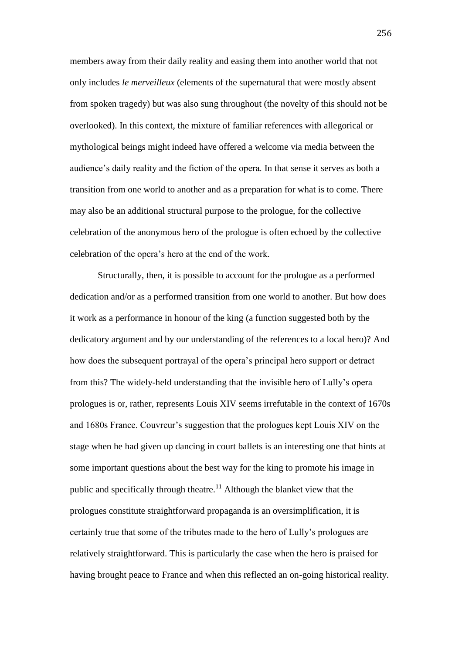members away from their daily reality and easing them into another world that not only includes *le merveilleux* (elements of the supernatural that were mostly absent from spoken tragedy) but was also sung throughout (the novelty of this should not be overlooked). In this context, the mixture of familiar references with allegorical or mythological beings might indeed have offered a welcome via media between the audience's daily reality and the fiction of the opera. In that sense it serves as both a transition from one world to another and as a preparation for what is to come. There may also be an additional structural purpose to the prologue, for the collective celebration of the anonymous hero of the prologue is often echoed by the collective celebration of the opera's hero at the end of the work.

Structurally, then, it is possible to account for the prologue as a performed dedication and/or as a performed transition from one world to another. But how does it work as a performance in honour of the king (a function suggested both by the dedicatory argument and by our understanding of the references to a local hero)? And how does the subsequent portrayal of the opera's principal hero support or detract from this? The widely-held understanding that the invisible hero of Lully's opera prologues is or, rather, represents Louis XIV seems irrefutable in the context of 1670s and 1680s France. Couvreur's suggestion that the prologues kept Louis XIV on the stage when he had given up dancing in court ballets is an interesting one that hints at some important questions about the best way for the king to promote his image in public and specifically through theatre.<sup>11</sup> Although the blanket view that the prologues constitute straightforward propaganda is an oversimplification, it is certainly true that some of the tributes made to the hero of Lully's prologues are relatively straightforward. This is particularly the case when the hero is praised for having brought peace to France and when this reflected an on-going historical reality.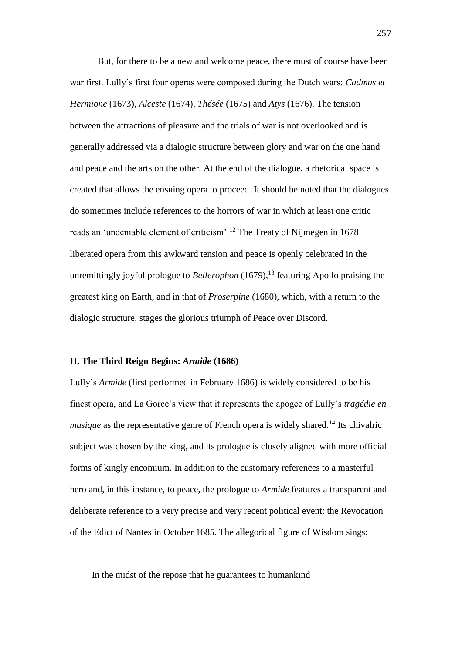But, for there to be a new and welcome peace, there must of course have been war first. Lully's first four operas were composed during the Dutch wars: *Cadmus et Hermione* (1673), *Alceste* (1674), *Thésée* (1675) and *Atys* (1676). The tension between the attractions of pleasure and the trials of war is not overlooked and is generally addressed via a dialogic structure between glory and war on the one hand and peace and the arts on the other. At the end of the dialogue, a rhetorical space is created that allows the ensuing opera to proceed. It should be noted that the dialogues do sometimes include references to the horrors of war in which at least one critic reads an 'undeniable element of criticism'.<sup>12</sup> The Treaty of Nijmegen in 1678 liberated opera from this awkward tension and peace is openly celebrated in the unremittingly joyful prologue to *Bellerophon* (1679),<sup>13</sup> featuring Apollo praising the greatest king on Earth, and in that of *Proserpine* (1680), which, with a return to the dialogic structure, stages the glorious triumph of Peace over Discord.

## **II. The Third Reign Begins:** *Armide* **(1686)**

Lully's *Armide* (first performed in February 1686) is widely considered to be his finest opera, and La Gorce's view that it represents the apogee of Lully's *tragédie en musique* as the representative genre of French opera is widely shared.<sup>14</sup> Its chivalric subject was chosen by the king, and its prologue is closely aligned with more official forms of kingly encomium. In addition to the customary references to a masterful hero and, in this instance, to peace, the prologue to *Armide* features a transparent and deliberate reference to a very precise and very recent political event: the Revocation of the Edict of Nantes in October 1685. The allegorical figure of Wisdom sings:

In the midst of the repose that he guarantees to humankind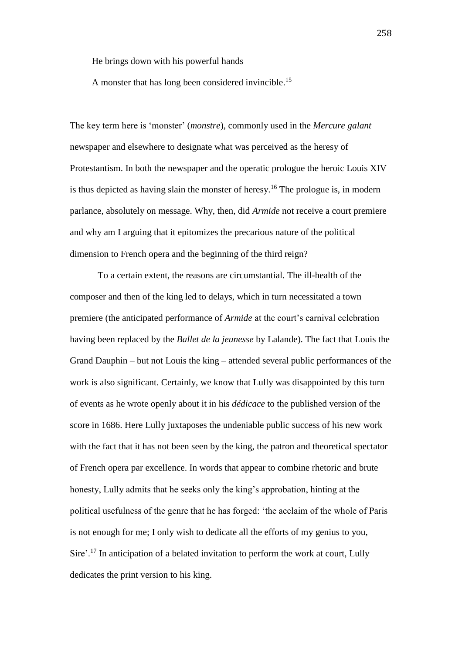He brings down with his powerful hands

A monster that has long been considered invincible.<sup>15</sup>

The key term here is 'monster' (*monstre*), commonly used in the *Mercure galant* newspaper and elsewhere to designate what was perceived as the heresy of Protestantism. In both the newspaper and the operatic prologue the heroic Louis XIV is thus depicted as having slain the monster of heresy.<sup>16</sup> The prologue is, in modern parlance, absolutely on message. Why, then, did *Armide* not receive a court premiere and why am I arguing that it epitomizes the precarious nature of the political dimension to French opera and the beginning of the third reign?

To a certain extent, the reasons are circumstantial. The ill-health of the composer and then of the king led to delays, which in turn necessitated a town premiere (the anticipated performance of *Armide* at the court's carnival celebration having been replaced by the *Ballet de la jeunesse* by Lalande). The fact that Louis the Grand Dauphin – but not Louis the king – attended several public performances of the work is also significant. Certainly, we know that Lully was disappointed by this turn of events as he wrote openly about it in his *dédicace* to the published version of the score in 1686. Here Lully juxtaposes the undeniable public success of his new work with the fact that it has not been seen by the king, the patron and theoretical spectator of French opera par excellence. In words that appear to combine rhetoric and brute honesty, Lully admits that he seeks only the king's approbation, hinting at the political usefulness of the genre that he has forged: 'the acclaim of the whole of Paris is not enough for me; I only wish to dedicate all the efforts of my genius to you, Sire'.<sup>17</sup> In anticipation of a belated invitation to perform the work at court, Lully dedicates the print version to his king.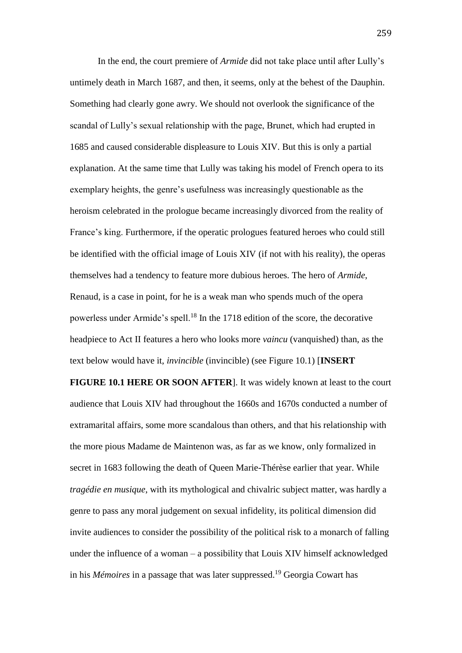In the end, the court premiere of *Armide* did not take place until after Lully's untimely death in March 1687, and then, it seems, only at the behest of the Dauphin. Something had clearly gone awry. We should not overlook the significance of the scandal of Lully's sexual relationship with the page, Brunet, which had erupted in 1685 and caused considerable displeasure to Louis XIV. But this is only a partial explanation. At the same time that Lully was taking his model of French opera to its exemplary heights, the genre's usefulness was increasingly questionable as the heroism celebrated in the prologue became increasingly divorced from the reality of France's king. Furthermore, if the operatic prologues featured heroes who could still be identified with the official image of Louis XIV (if not with his reality), the operas themselves had a tendency to feature more dubious heroes. The hero of *Armide*, Renaud, is a case in point, for he is a weak man who spends much of the opera powerless under Armide's spell.<sup>18</sup> In the 1718 edition of the score, the decorative headpiece to Act II features a hero who looks more *vaincu* (vanquished) than, as the text below would have it, *invincible* (invincible) (see Figure 10.1) [**INSERT** 

**FIGURE 10.1 HERE OR SOON AFTER**]. It was widely known at least to the court audience that Louis XIV had throughout the 1660s and 1670s conducted a number of extramarital affairs, some more scandalous than others, and that his relationship with the more pious Madame de Maintenon was, as far as we know, only formalized in secret in 1683 following the death of Queen Marie-Thérèse earlier that year. While *tragédie en musique*, with its mythological and chivalric subject matter, was hardly a genre to pass any moral judgement on sexual infidelity, its political dimension did invite audiences to consider the possibility of the political risk to a monarch of falling under the influence of a woman – a possibility that Louis XIV himself acknowledged in his *Mémoires* in a passage that was later suppressed.<sup>19</sup> Georgia Cowart has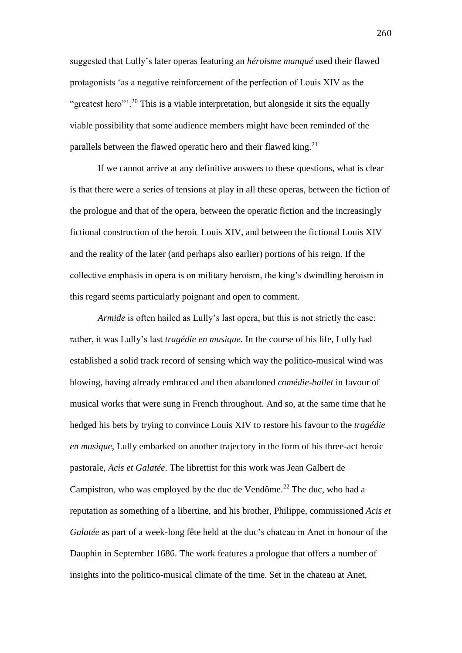suggested that Lully's later operas featuring an *héroisme manqué* used their flawed protagonists 'as a negative reinforcement of the perfection of Louis XIV as the "greatest hero"<sup>20</sup> This is a viable interpretation, but alongside it sits the equally viable possibility that some audience members might have been reminded of the parallels between the flawed operatic hero and their flawed king. $21$ 

If we cannot arrive at any definitive answers to these questions, what is clear is that there were a series of tensions at play in all these operas, between the fiction of the prologue and that of the opera, between the operatic fiction and the increasingly fictional construction of the heroic Louis XIV, and between the fictional Louis XIV and the reality of the later (and perhaps also earlier) portions of his reign. If the collective emphasis in opera is on military heroism, the king's dwindling heroism in this regard seems particularly poignant and open to comment.

*Armide* is often hailed as Lully's last opera, but this is not strictly the case: rather, it was Lully's last *tragédie en musique*. In the course of his life, Lully had established a solid track record of sensing which way the politico-musical wind was blowing, having already embraced and then abandoned *comédie-ballet* in favour of musical works that were sung in French throughout. And so, at the same time that he hedged his bets by trying to convince Louis XIV to restore his favour to the *tragédie en musique*, Lully embarked on another trajectory in the form of his three-act heroic pastorale, *Acis et Galatée*. The librettist for this work was Jean Galbert de Campistron, who was employed by the duc de Vendôme.<sup>22</sup> The duc, who had a reputation as something of a libertine, and his brother, Philippe, commissioned *Acis et Galatée* as part of a week-long fête held at the duc's chateau in Anet in honour of the Dauphin in September 1686. The work features a prologue that offers a number of insights into the politico-musical climate of the time. Set in the chateau at Anet,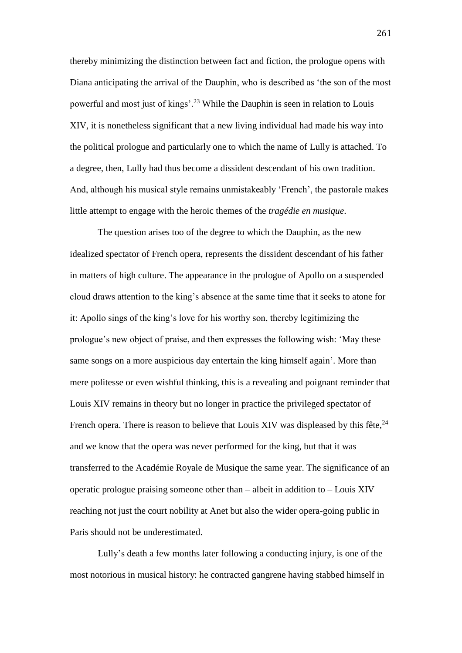thereby minimizing the distinction between fact and fiction, the prologue opens with Diana anticipating the arrival of the Dauphin, who is described as 'the son of the most powerful and most just of kings'. <sup>23</sup> While the Dauphin is seen in relation to Louis XIV, it is nonetheless significant that a new living individual had made his way into the political prologue and particularly one to which the name of Lully is attached. To a degree, then, Lully had thus become a dissident descendant of his own tradition. And, although his musical style remains unmistakeably 'French', the pastorale makes little attempt to engage with the heroic themes of the *tragédie en musique*.

The question arises too of the degree to which the Dauphin, as the new idealized spectator of French opera, represents the dissident descendant of his father in matters of high culture. The appearance in the prologue of Apollo on a suspended cloud draws attention to the king's absence at the same time that it seeks to atone for it: Apollo sings of the king's love for his worthy son, thereby legitimizing the prologue's new object of praise, and then expresses the following wish: 'May these same songs on a more auspicious day entertain the king himself again'. More than mere politesse or even wishful thinking, this is a revealing and poignant reminder that Louis XIV remains in theory but no longer in practice the privileged spectator of French opera. There is reason to believe that Louis XIV was displeased by this fête,  $24$ and we know that the opera was never performed for the king, but that it was transferred to the Académie Royale de Musique the same year. The significance of an operatic prologue praising someone other than – albeit in addition to – Louis XIV reaching not just the court nobility at Anet but also the wider opera-going public in Paris should not be underestimated.

Lully's death a few months later following a conducting injury, is one of the most notorious in musical history: he contracted gangrene having stabbed himself in

261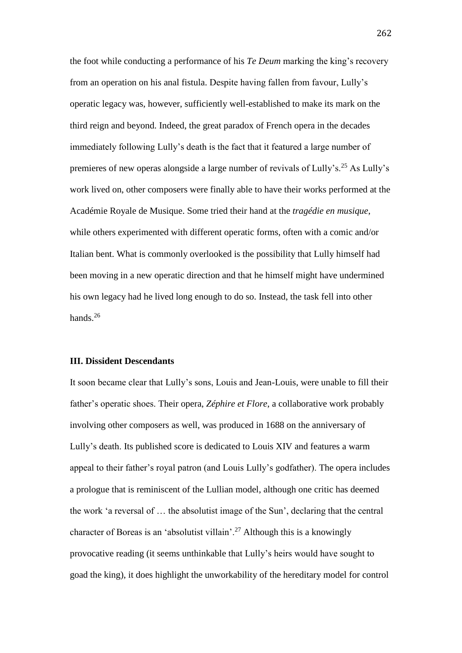the foot while conducting a performance of his *Te Deum* marking the king's recovery from an operation on his anal fistula. Despite having fallen from favour, Lully's operatic legacy was, however, sufficiently well-established to make its mark on the third reign and beyond. Indeed, the great paradox of French opera in the decades immediately following Lully's death is the fact that it featured a large number of premieres of new operas alongside a large number of revivals of Lully's.<sup>25</sup> As Lully's work lived on, other composers were finally able to have their works performed at the Académie Royale de Musique. Some tried their hand at the *tragédie en musique*, while others experimented with different operatic forms, often with a comic and/or Italian bent. What is commonly overlooked is the possibility that Lully himself had been moving in a new operatic direction and that he himself might have undermined his own legacy had he lived long enough to do so. Instead, the task fell into other hands.<sup>26</sup>

## **III. Dissident Descendants**

It soon became clear that Lully's sons, Louis and Jean-Louis, were unable to fill their father's operatic shoes. Their opera, *Zéphire et Flore*, a collaborative work probably involving other composers as well, was produced in 1688 on the anniversary of Lully's death. Its published score is dedicated to Louis XIV and features a warm appeal to their father's royal patron (and Louis Lully's godfather). The opera includes a prologue that is reminiscent of the Lullian model, although one critic has deemed the work 'a reversal of … the absolutist image of the Sun', declaring that the central character of Boreas is an 'absolutist villain'.<sup>27</sup> Although this is a knowingly provocative reading (it seems unthinkable that Lully's heirs would have sought to goad the king), it does highlight the unworkability of the hereditary model for control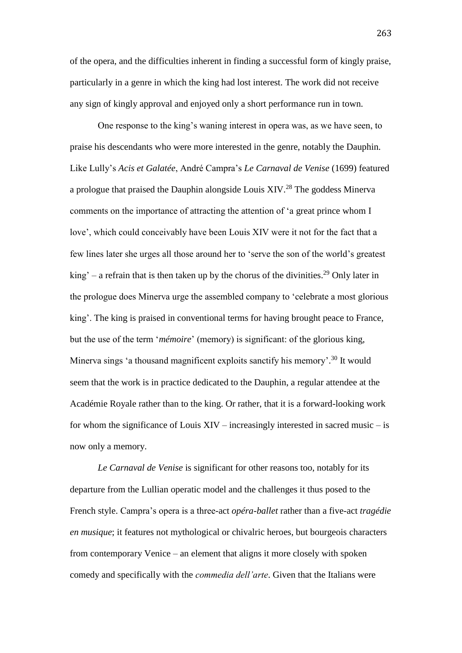of the opera, and the difficulties inherent in finding a successful form of kingly praise, particularly in a genre in which the king had lost interest. The work did not receive any sign of kingly approval and enjoyed only a short performance run in town.

One response to the king's waning interest in opera was, as we have seen, to praise his descendants who were more interested in the genre, notably the Dauphin. Like Lully's *Acis et Galatée*, André Campra's *Le Carnaval de Venise* (1699) featured a prologue that praised the Dauphin alongside Louis XIV.<sup>28</sup> The goddess Minerva comments on the importance of attracting the attention of 'a great prince whom I love', which could conceivably have been Louis XIV were it not for the fact that a few lines later she urges all those around her to 'serve the son of the world's greatest  $king' – a refrain that is then taken up by the chorus of the divinities.<sup>29</sup> Only later in$ the prologue does Minerva urge the assembled company to 'celebrate a most glorious king'. The king is praised in conventional terms for having brought peace to France, but the use of the term '*mémoire*' (memory) is significant: of the glorious king, Minerva sings 'a thousand magnificent exploits sanctify his memory'.<sup>30</sup> It would seem that the work is in practice dedicated to the Dauphin, a regular attendee at the Académie Royale rather than to the king. Or rather, that it is a forward-looking work for whom the significance of Louis XIV – increasingly interested in sacred music – is now only a memory.

*Le Carnaval de Venise* is significant for other reasons too, notably for its departure from the Lullian operatic model and the challenges it thus posed to the French style. Campra's opera is a three-act *opéra-ballet* rather than a five-act *tragédie en musique*; it features not mythological or chivalric heroes, but bourgeois characters from contemporary Venice – an element that aligns it more closely with spoken comedy and specifically with the *commedia dell'arte*. Given that the Italians were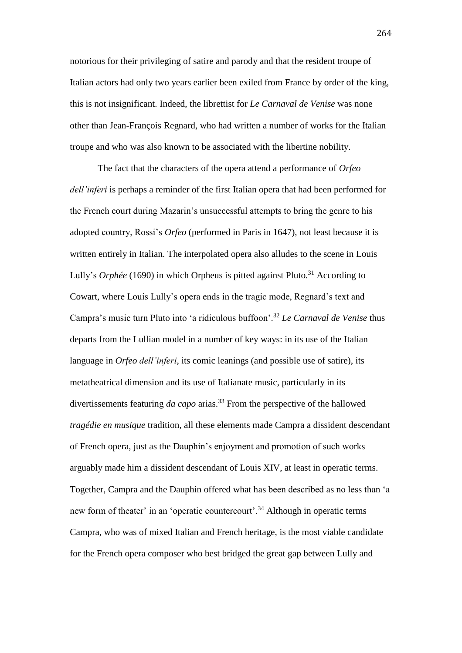notorious for their privileging of satire and parody and that the resident troupe of Italian actors had only two years earlier been exiled from France by order of the king, this is not insignificant. Indeed, the librettist for *Le Carnaval de Venise* was none other than Jean-François Regnard, who had written a number of works for the Italian troupe and who was also known to be associated with the libertine nobility.

The fact that the characters of the opera attend a performance of *Orfeo dell'inferi* is perhaps a reminder of the first Italian opera that had been performed for the French court during Mazarin's unsuccessful attempts to bring the genre to his adopted country, Rossi's *Orfeo* (performed in Paris in 1647), not least because it is written entirely in Italian. The interpolated opera also alludes to the scene in Louis Lully's *Orphée* (1690) in which Orpheus is pitted against Pluto.<sup>31</sup> According to Cowart, where Louis Lully's opera ends in the tragic mode, Regnard's text and Campra's music turn Pluto into 'a ridiculous buffoon'.<sup>32</sup> *Le Carnaval de Venise* thus departs from the Lullian model in a number of key ways: in its use of the Italian language in *Orfeo dell'inferi*, its comic leanings (and possible use of satire), its metatheatrical dimension and its use of Italianate music, particularly in its divertissements featuring *da capo* arias.<sup>33</sup> From the perspective of the hallowed *tragédie en musique* tradition, all these elements made Campra a dissident descendant of French opera, just as the Dauphin's enjoyment and promotion of such works arguably made him a dissident descendant of Louis XIV, at least in operatic terms. Together, Campra and the Dauphin offered what has been described as no less than 'a new form of theater' in an 'operatic countercourt'.<sup>34</sup> Although in operatic terms Campra, who was of mixed Italian and French heritage, is the most viable candidate for the French opera composer who best bridged the great gap between Lully and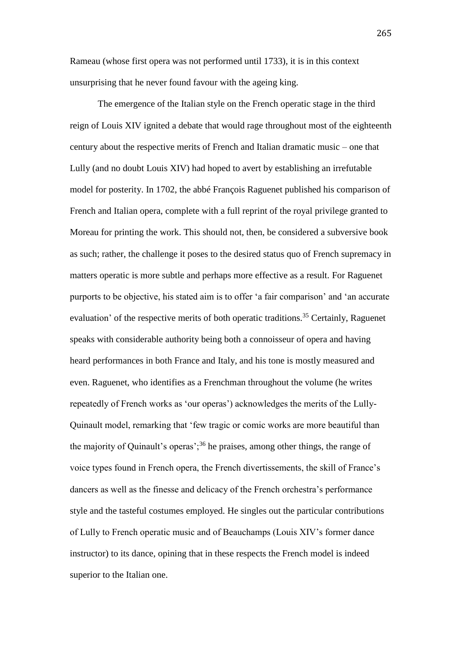Rameau (whose first opera was not performed until 1733), it is in this context unsurprising that he never found favour with the ageing king.

The emergence of the Italian style on the French operatic stage in the third reign of Louis XIV ignited a debate that would rage throughout most of the eighteenth century about the respective merits of French and Italian dramatic music – one that Lully (and no doubt Louis XIV) had hoped to avert by establishing an irrefutable model for posterity. In 1702, the abbé François Raguenet published his comparison of French and Italian opera, complete with a full reprint of the royal privilege granted to Moreau for printing the work. This should not, then, be considered a subversive book as such; rather, the challenge it poses to the desired status quo of French supremacy in matters operatic is more subtle and perhaps more effective as a result. For Raguenet purports to be objective, his stated aim is to offer 'a fair comparison' and 'an accurate evaluation' of the respective merits of both operatic traditions.<sup>35</sup> Certainly, Raguenet speaks with considerable authority being both a connoisseur of opera and having heard performances in both France and Italy, and his tone is mostly measured and even. Raguenet, who identifies as a Frenchman throughout the volume (he writes repeatedly of French works as 'our operas') acknowledges the merits of the Lully-Quinault model, remarking that 'few tragic or comic works are more beautiful than the majority of Quinault's operas';<sup>36</sup> he praises, among other things, the range of voice types found in French opera, the French divertissements, the skill of France's dancers as well as the finesse and delicacy of the French orchestra's performance style and the tasteful costumes employed. He singles out the particular contributions of Lully to French operatic music and of Beauchamps (Louis XIV's former dance instructor) to its dance, opining that in these respects the French model is indeed superior to the Italian one.

265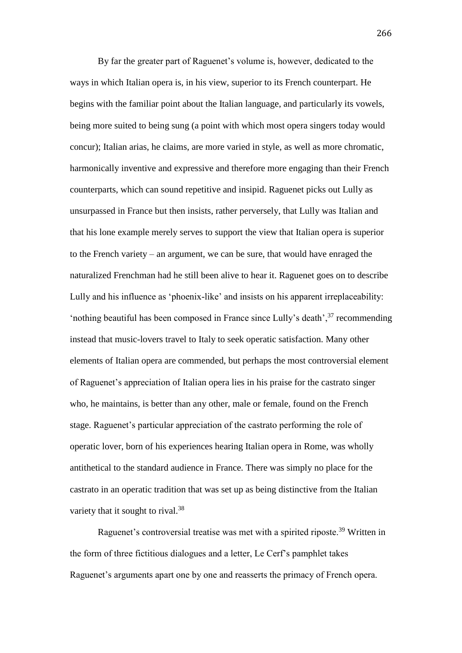By far the greater part of Raguenet's volume is, however, dedicated to the ways in which Italian opera is, in his view, superior to its French counterpart. He begins with the familiar point about the Italian language, and particularly its vowels, being more suited to being sung (a point with which most opera singers today would concur); Italian arias, he claims, are more varied in style, as well as more chromatic, harmonically inventive and expressive and therefore more engaging than their French counterparts, which can sound repetitive and insipid. Raguenet picks out Lully as unsurpassed in France but then insists, rather perversely, that Lully was Italian and that his lone example merely serves to support the view that Italian opera is superior to the French variety – an argument, we can be sure, that would have enraged the naturalized Frenchman had he still been alive to hear it. Raguenet goes on to describe Lully and his influence as 'phoenix-like' and insists on his apparent irreplaceability: 'nothing beautiful has been composed in France since Lully's death',<sup>37</sup> recommending instead that music-lovers travel to Italy to seek operatic satisfaction. Many other elements of Italian opera are commended, but perhaps the most controversial element of Raguenet's appreciation of Italian opera lies in his praise for the castrato singer who, he maintains, is better than any other, male or female, found on the French stage. Raguenet's particular appreciation of the castrato performing the role of operatic lover, born of his experiences hearing Italian opera in Rome, was wholly antithetical to the standard audience in France. There was simply no place for the castrato in an operatic tradition that was set up as being distinctive from the Italian variety that it sought to rival.<sup>38</sup>

Raguenet's controversial treatise was met with a spirited riposte.<sup>39</sup> Written in the form of three fictitious dialogues and a letter, Le Cerf's pamphlet takes Raguenet's arguments apart one by one and reasserts the primacy of French opera.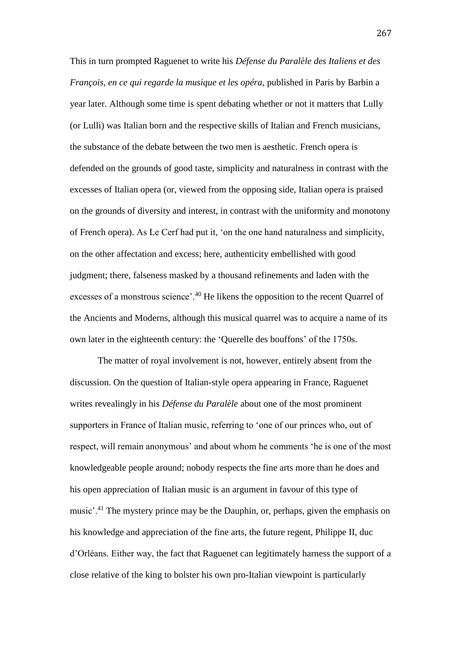This in turn prompted Raguenet to write his *Défense du Paralèle des Italiens et des François, en ce qui regarde la musique et les opéra*, published in Paris by Barbin a year later. Although some time is spent debating whether or not it matters that Lully (or Lulli) was Italian born and the respective skills of Italian and French musicians, the substance of the debate between the two men is aesthetic. French opera is defended on the grounds of good taste, simplicity and naturalness in contrast with the excesses of Italian opera (or, viewed from the opposing side, Italian opera is praised on the grounds of diversity and interest, in contrast with the uniformity and monotony of French opera). As Le Cerf had put it, 'on the one hand naturalness and simplicity, on the other affectation and excess; here, authenticity embellished with good judgment; there, falseness masked by a thousand refinements and laden with the excesses of a monstrous science'.<sup>40</sup> He likens the opposition to the recent Quarrel of the Ancients and Moderns, although this musical quarrel was to acquire a name of its own later in the eighteenth century: the 'Querelle des bouffons' of the 1750s.

The matter of royal involvement is not, however, entirely absent from the discussion. On the question of Italian-style opera appearing in France, Raguenet writes revealingly in his *Défense du Paralèle* about one of the most prominent supporters in France of Italian music, referring to 'one of our princes who, out of respect, will remain anonymous' and about whom he comments 'he is one of the most knowledgeable people around; nobody respects the fine arts more than he does and his open appreciation of Italian music is an argument in favour of this type of music'.<sup>41</sup> The mystery prince may be the Dauphin, or, perhaps, given the emphasis on his knowledge and appreciation of the fine arts, the future regent, Philippe II, duc d'Orléans. Either way, the fact that Raguenet can legitimately harness the support of a close relative of the king to bolster his own pro-Italian viewpoint is particularly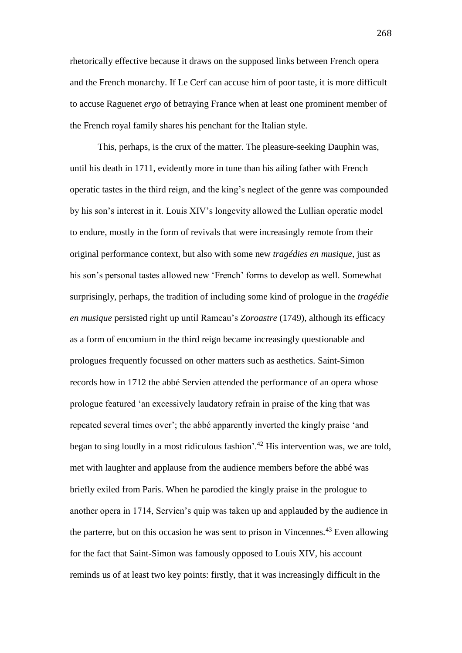rhetorically effective because it draws on the supposed links between French opera and the French monarchy. If Le Cerf can accuse him of poor taste, it is more difficult to accuse Raguenet *ergo* of betraying France when at least one prominent member of the French royal family shares his penchant for the Italian style.

This, perhaps, is the crux of the matter. The pleasure-seeking Dauphin was, until his death in 1711, evidently more in tune than his ailing father with French operatic tastes in the third reign, and the king's neglect of the genre was compounded by his son's interest in it. Louis XIV's longevity allowed the Lullian operatic model to endure, mostly in the form of revivals that were increasingly remote from their original performance context, but also with some new *tragédies en musique*, just as his son's personal tastes allowed new 'French' forms to develop as well. Somewhat surprisingly, perhaps, the tradition of including some kind of prologue in the *tragédie en musique* persisted right up until Rameau's *Zoroastre* (1749), although its efficacy as a form of encomium in the third reign became increasingly questionable and prologues frequently focussed on other matters such as aesthetics. Saint-Simon records how in 1712 the abbé Servien attended the performance of an opera whose prologue featured 'an excessively laudatory refrain in praise of the king that was repeated several times over'; the abbé apparently inverted the kingly praise 'and began to sing loudly in a most ridiculous fashion'.<sup>42</sup> His intervention was, we are told, met with laughter and applause from the audience members before the abbé was briefly exiled from Paris. When he parodied the kingly praise in the prologue to another opera in 1714, Servien's quip was taken up and applauded by the audience in the parterre, but on this occasion he was sent to prison in Vincennes.<sup>43</sup> Even allowing for the fact that Saint-Simon was famously opposed to Louis XIV, his account reminds us of at least two key points: firstly, that it was increasingly difficult in the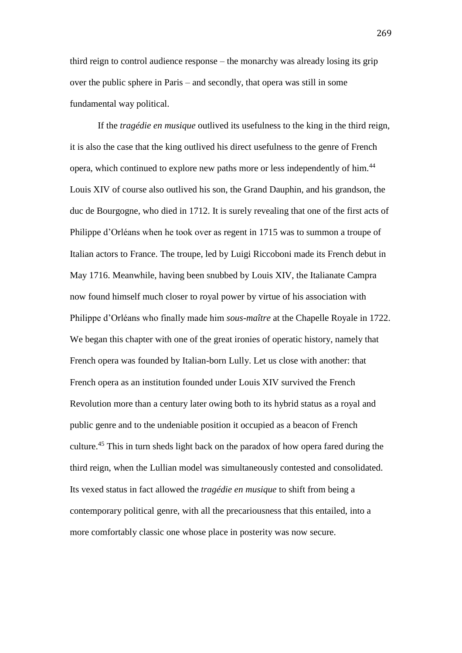third reign to control audience response – the monarchy was already losing its grip over the public sphere in Paris – and secondly, that opera was still in some fundamental way political.

If the *tragédie en musique* outlived its usefulness to the king in the third reign, it is also the case that the king outlived his direct usefulness to the genre of French opera, which continued to explore new paths more or less independently of him.<sup>44</sup> Louis XIV of course also outlived his son, the Grand Dauphin, and his grandson, the duc de Bourgogne, who died in 1712. It is surely revealing that one of the first acts of Philippe d'Orléans when he took over as regent in 1715 was to summon a troupe of Italian actors to France. The troupe, led by Luigi Riccoboni made its French debut in May 1716. Meanwhile, having been snubbed by Louis XIV, the Italianate Campra now found himself much closer to royal power by virtue of his association with Philippe d'Orléans who finally made him *sous-maître* at the Chapelle Royale in 1722. We began this chapter with one of the great ironies of operatic history, namely that French opera was founded by Italian-born Lully. Let us close with another: that French opera as an institution founded under Louis XIV survived the French Revolution more than a century later owing both to its hybrid status as a royal and public genre and to the undeniable position it occupied as a beacon of French culture.<sup>45</sup> This in turn sheds light back on the paradox of how opera fared during the third reign, when the Lullian model was simultaneously contested and consolidated. Its vexed status in fact allowed the *tragédie en musique* to shift from being a contemporary political genre, with all the precariousness that this entailed, into a more comfortably classic one whose place in posterity was now secure.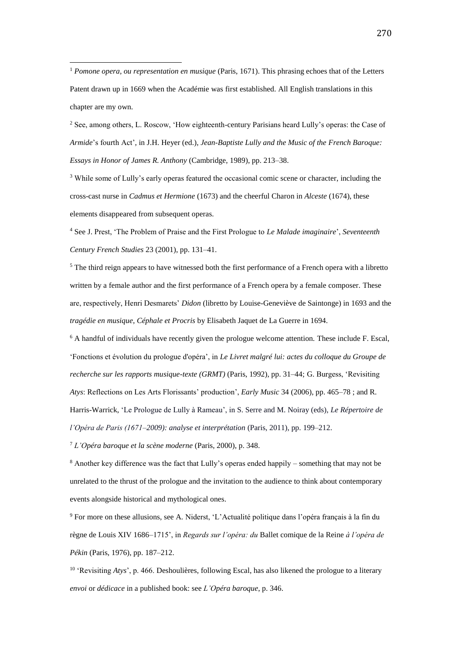<sup>1</sup> *Pomone opera, ou representation en musique* (Paris, 1671). This phrasing echoes that of the Letters Patent drawn up in 1669 when the Académie was first established. All English translations in this chapter are my own.

 $\overline{a}$ 

<sup>2</sup> See, among others, L. Roscow, 'How eighteenth-century Parisians heard Lully's operas: the Case of *Armide*'s fourth Act', in J.H. Heyer (ed.), *Jean-Baptiste Lully and the Music of the French Baroque: Essays in Honor of James R. Anthony* (Cambridge, 1989), pp. 213–38.

<sup>3</sup> While some of Lully's early operas featured the occasional comic scene or character, including the cross-cast nurse in *Cadmus et Hermione* (1673) and the cheerful Charon in *Alceste* (1674), these elements disappeared from subsequent operas.

<sup>4</sup> See J. Prest, 'The Problem of Praise and the First Prologue to *Le Malade imaginaire*', *Seventeenth Century French Studies* 23 (2001), pp. 131–41.

<sup>5</sup> The third reign appears to have witnessed both the first performance of a French opera with a libretto written by a female author and the first performance of a French opera by a female composer. These are, respectively, Henri Desmarets' *Didon* (libretto by Louise-Geneviève de Saintonge) in 1693 and the *tragédie en musique*, *Céphale et Procris* by Elisabeth Jaquet de La Guerre in 1694.

<sup>6</sup> A handful of individuals have recently given the prologue welcome attention. These include F. Escal, 'Fonctions et évolution du prologue d'opéra', in *Le Livret malgré lui: actes du colloque du Groupe de recherche sur les rapports musique-texte (GRMT)* (Paris, 1992), pp. 31–44; G. Burgess, 'Revisiting *Atys*: Reflections on Les Arts Florissants' production', *Early Music* 34 (2006), pp. 465–78 ; and R. Harris-Warrick, 'Le Prologue de Lully à Rameau', in S. Serre and M. Noiray (eds), *Le Répertoire de* 

*l'Opéra de Paris (1671–2009): analyse et interprétation* (Paris, 2011), pp. 199–212.

<sup>7</sup> *L'Opéra baroque et la scène moderne* (Paris, 2000), p. 348.

<sup>8</sup> Another key difference was the fact that Lully's operas ended happily – something that may not be unrelated to the thrust of the prologue and the invitation to the audience to think about contemporary events alongside historical and mythological ones.

<sup>9</sup> For more on these allusions, see A. Niderst, 'L'Actualité politique dans l'opéra français à la fin du règne de Louis XIV 1686–1715', in *Regards sur l'opéra: du* Ballet comique de la Reine *à l'opéra de Pékin* (Paris, 1976), pp. 187–212.

<sup>10</sup> 'Revisiting *Atys*', p. 466. Deshoulières, following Escal, has also likened the prologue to a literary *envoi* or *dédicace* in a published book: see *L'Opéra baroque*, p. 346.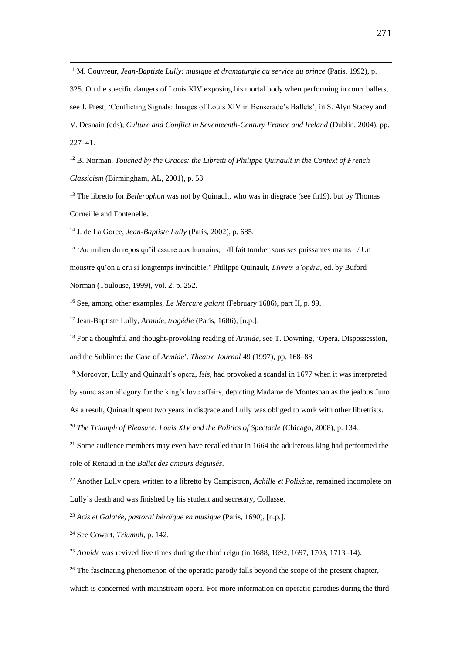<sup>11</sup> M. Couvreur, *Jean-Baptiste Lully: musique et dramaturgie au service du prince* (Paris, 1992), p.

325. On the specific dangers of Louis XIV exposing his mortal body when performing in court ballets, see J. Prest, 'Conflicting Signals: Images of Louis XIV in Benserade's Ballets', in S. Alyn Stacey and V. Desnain (eds), *Culture and Conflict in Seventeenth-Century France and Ireland* (Dublin, 2004), pp. 227–41.

<sup>12</sup> B. Norman, *Touched by the Graces: the Libretti of Philippe Quinault in the Context of French Classicism* (Birmingham, AL, 2001), p. 53.

<sup>13</sup> The libretto for *Bellerophon* was not by Quinault, who was in disgrace (see fn19), but by Thomas Corneille and Fontenelle.

<sup>14</sup> J. de La Gorce, *Jean-Baptiste Lully* (Paris, 2002), p. 685.

 $\overline{a}$ 

<sup>15</sup> 'Au milieu du repos qu'il assure aux humains, /Il fait tomber sous ses puissantes mains / Un monstre qu'on a cru si longtemps invincible.' Philippe Quinault, *Livrets d'opéra*, ed. by Buford Norman (Toulouse, 1999), vol. 2, p. 252.

<sup>16</sup> See, among other examples, *Le Mercure galant* (February 1686), part II, p. 99.

<sup>17</sup> Jean-Baptiste Lully, *Armide, tragédie* (Paris, 1686), [n.p.].

<sup>18</sup> For a thoughtful and thought-provoking reading of *Armide*, see T. Downing, 'Opera, Dispossession, and the Sublime: the Case of *Armide*', *Theatre Journal* 49 (1997), pp. 168–88.

<sup>19</sup> Moreover, Lully and Quinault's opera, *Isis*, had provoked a scandal in 1677 when it was interpreted

by some as an allegory for the king's love affairs, depicting Madame de Montespan as the jealous Juno.

As a result, Quinault spent two years in disgrace and Lully was obliged to work with other librettists.

<sup>20</sup> *The Triumph of Pleasure: Louis XIV and the Politics of Spectacle* (Chicago, 2008), p. 134.

 $21$  Some audience members may even have recalled that in 1664 the adulterous king had performed the role of Renaud in the *Ballet des amours déguisés*.

<sup>22</sup> Another Lully opera written to a libretto by Campistron, *Achille et Polixène*, remained incomplete on Lully's death and was finished by his student and secretary, Collasse.

<sup>23</sup> *Acis et Galatée, pastoral héroïque en musique* (Paris, 1690), [n.p.].

<sup>24</sup> See Cowart, *Triumph*, p. 142.

<sup>25</sup> *Armide* was revived five times during the third reign (in 1688, 1692, 1697, 1703, 1713–14).

<sup>26</sup> The fascinating phenomenon of the operatic parody falls beyond the scope of the present chapter,

which is concerned with mainstream opera. For more information on operatic parodies during the third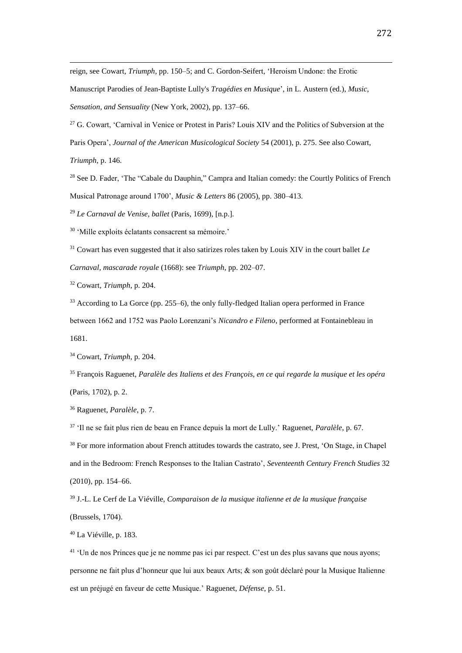reign, see Cowart, *Triumph*, pp. 150–5; and C. Gordon-Seifert, 'Heroism Undone: the Erotic

Manuscript Parodies of Jean-Baptiste Lully's *Tragédies en Musique*', in L. Austern (ed.), *Music, Sensation, and Sensuality* (New York, 2002), pp. 137–66.

<sup>27</sup> G. Cowart, 'Carnival in Venice or Protest in Paris? Louis XIV and the Politics of Subversion at the

Paris Opera', *Journal of the American Musicological Society* 54 (2001), p. 275. See also Cowart,

*Triumph*, p. 146.

 $\overline{a}$ 

<sup>28</sup> See D. Fader, 'The "Cabale du Dauphin," Campra and Italian comedy: the Courtly Politics of French Musical Patronage around 1700', *Music & Letters* 86 (2005), pp. 380–413.

<sup>29</sup> *Le Carnaval de Venise, ballet* (Paris, 1699), [n.p.].

<sup>30</sup> 'Mille exploits éclatants consacrent sa mémoire.'

<sup>31</sup> Cowart has even suggested that it also satirizes roles taken by Louis XIV in the court ballet *Le Carnaval, mascarade royale* (1668): see *Triumph*, pp. 202–07.

<sup>32</sup> Cowart, *Triumph*, p. 204.

<sup>33</sup> According to La Gorce (pp. 255–6), the only fully-fledged Italian opera performed in France between 1662 and 1752 was Paolo Lorenzani's *Nicandro e Fileno*, performed at Fontainebleau in 1681.

<sup>34</sup> Cowart, *Triumph*, p. 204.

<sup>35</sup> François Raguenet, *Paralèle des Italiens et des François, en ce qui regarde la musique et les opéra* (Paris, 1702), p. 2.

<sup>36</sup> Raguenet, *Paralèle*, p. 7.

<sup>37</sup> 'Il ne se fait plus rien de beau en France depuis la mort de Lully.' Raguenet, *Paralèle*, p. 67.

<sup>38</sup> For more information about French attitudes towards the castrato, see J. Prest, 'On Stage, in Chapel and in the Bedroom: French Responses to the Italian Castrato', *Seventeenth Century French Studies* 32 (2010), pp. 154–66.

<sup>39</sup> J.-L. Le Cerf de La Viéville, *Comparaison de la musique italienne et de la musique française*  (Brussels, 1704).

<sup>40</sup> La Viéville, p. 183.

<sup>41</sup> 'Un de nos Princes que je ne nomme pas ici par respect. C'est un des plus savans que nous ayons; personne ne fait plus d'honneur que lui aux beaux Arts; & son goût déclaré pour la Musique Italienne est un préjugé en faveur de cette Musique.' Raguenet, *Défense*, p. 51.